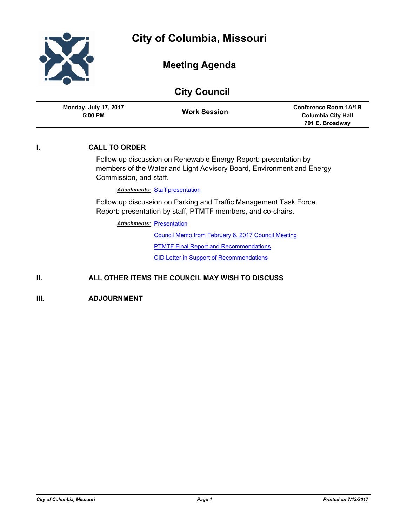

| <b>City Council</b> |                                                                                                                                                                     |                                                                                                                                   |                                                                              |
|---------------------|---------------------------------------------------------------------------------------------------------------------------------------------------------------------|-----------------------------------------------------------------------------------------------------------------------------------|------------------------------------------------------------------------------|
|                     | <b>Monday, July 17, 2017</b><br>5:00 PM                                                                                                                             | <b>Work Session</b>                                                                                                               | <b>Conference Room 1A/1B</b><br><b>Columbia City Hall</b><br>701 E. Broadway |
| I.                  | <b>CALL TO ORDER</b>                                                                                                                                                |                                                                                                                                   |                                                                              |
|                     | Follow up discussion on Renewable Energy Report: presentation by<br>members of the Water and Light Advisory Board, Environment and Energy<br>Commission, and staff. |                                                                                                                                   |                                                                              |
|                     |                                                                                                                                                                     | <b>Attachments: Staff presentation</b>                                                                                            |                                                                              |
|                     |                                                                                                                                                                     | Follow up discussion on Parking and Traffic Management Task Force<br>Report: presentation by staff, PTMTF members, and co-chairs. |                                                                              |
|                     | <b>Attachments: Presentation</b>                                                                                                                                    |                                                                                                                                   |                                                                              |
|                     |                                                                                                                                                                     | Council Memo from February 6, 2017 Council Meeting                                                                                |                                                                              |
|                     |                                                                                                                                                                     | <b>PTMTF Final Report and Recommendations</b>                                                                                     |                                                                              |
|                     |                                                                                                                                                                     | <b>CID Letter in Support of Recommendations</b>                                                                                   |                                                                              |
|                     |                                                                                                                                                                     |                                                                                                                                   |                                                                              |

## **II. ALL OTHER ITEMS THE COUNCIL MAY WISH TO DISCUSS**

**III. ADJOURNMENT**